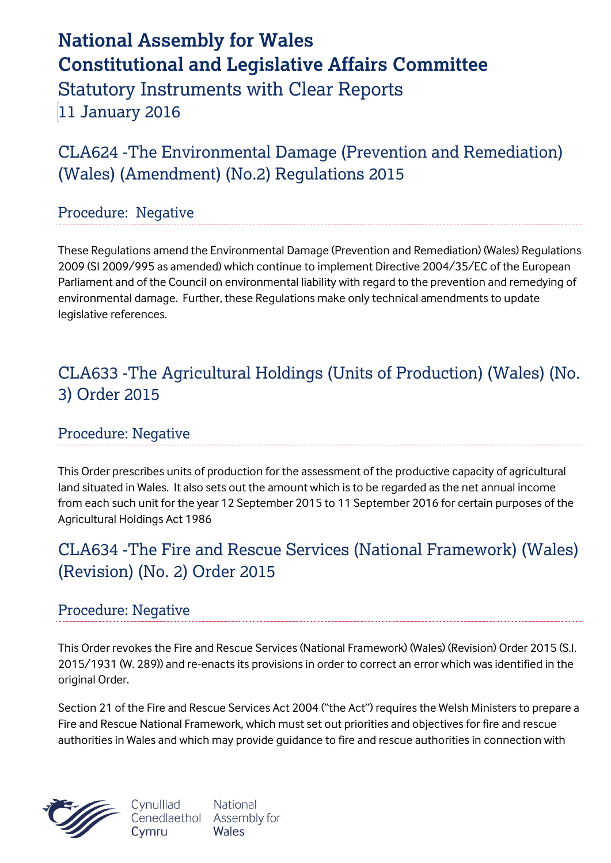# **National Assembly for Wales Constitutional and Legislative Affairs Committee** Statutory Instruments with Clear Reports 11 January 2016

CLA624 -The Environmental Damage (Prevention and Remediation) (Wales) (Amendment) (No.2) Regulations 2015

#### Procedure: Negative

These Regulations amend the Environmental Damage (Prevention and Remediation) (Wales) Regulations 2009 (SI 2009/995 as amended) which continue to implement Directive 2004/35/EC of the European Parliament and of the Council on environmental liability with regard to the prevention and remedying of environmental damage. Further, these Regulations make only technical amendments to update legislative references.

### CLA633 -The Agricultural Holdings (Units of Production) (Wales) (No. 3) Order 2015

#### Procedure: Negative

This Order prescribes units of production for the assessment of the productive capacity of agricultural land situated in Wales. It also sets out the amount which is to be regarded as the net annual income from each such unit for the year 12 September 2015 to 11 September 2016 for certain purposes of the Agricultural Holdings Act 1986

## CLA634 -The Fire and Rescue Services (National Framework) (Wales) (Revision) (No. 2) Order 2015

#### Procedure: Negative

This Order revokes the Fire and Rescue Services (National Framework) (Wales) (Revision) Order 2015 (S.I. 2015/1931 (W. 289)) and re-enacts its provisions in order to correct an error which was identified in the original Order.

Section 21 of the Fire and Rescue Services Act 2004 ("the Act") requires the Welsh Ministers to prepare a Fire and Rescue National Framework, which must set out priorities and objectives for fire and rescue authorities in Wales and which may provide guidance to fire and rescue authorities in connection with



Cynulliad **National** Cenedlaethol Assembly for Wales Cymru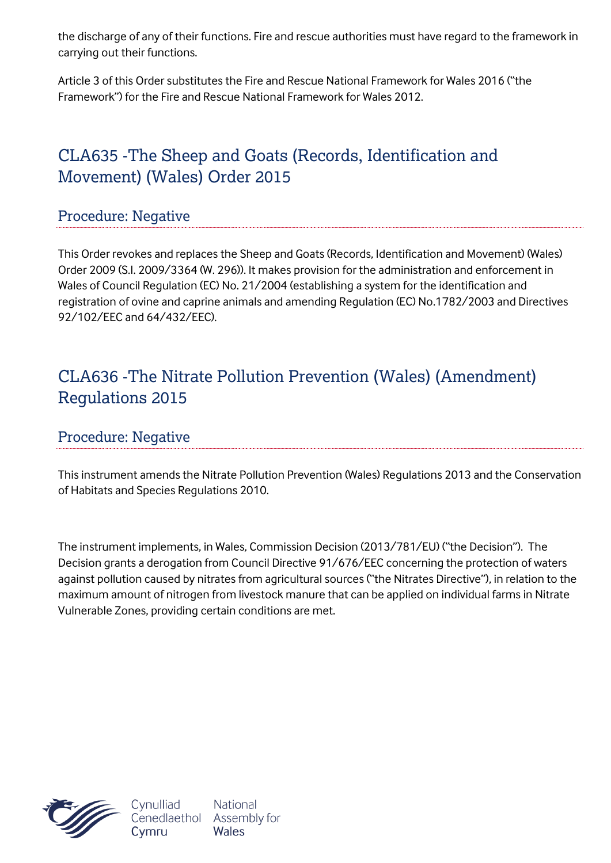the discharge of any of their functions. Fire and rescue authorities must have regard to the framework in carrying out their functions.

Article 3 of this Order substitutes the Fire and Rescue National Framework for Wales 2016 ("the Framework") for the Fire and Rescue National Framework for Wales 2012.

# CLA635 -The Sheep and Goats (Records, Identification and Movement) (Wales) Order 2015

#### Procedure: Negative

This Order revokes and replaces the Sheep and Goats (Records, Identification and Movement) (Wales) Order 2009 (S.I. 2009/3364 (W. 296)). It makes provision for the administration and enforcement in Wales of Council Regulation (EC) No. 21/2004 (establishing a system for the identification and registration of ovine and caprine animals and amending Regulation (EC) No.1782/2003 and Directives 92/102/EEC and 64/432/EEC).

### CLA636 -The Nitrate Pollution Prevention (Wales) (Amendment) Regulations 2015

#### Procedure: Negative

This instrument amends the Nitrate Pollution Prevention (Wales) Regulations 2013 and the Conservation of Habitats and Species Regulations 2010.

The instrument implements, in Wales, Commission Decision (2013/781/EU) ("the Decision"). The Decision grants a derogation from Council Directive 91/676/EEC concerning the protection of waters against pollution caused by nitrates from agricultural sources ("the Nitrates Directive"), in relation to the maximum amount of nitrogen from livestock manure that can be applied on individual farms in Nitrate Vulnerable Zones, providing certain conditions are met.



Cynulliad Cenedlaethol Cymru

National Assembly for **Wales**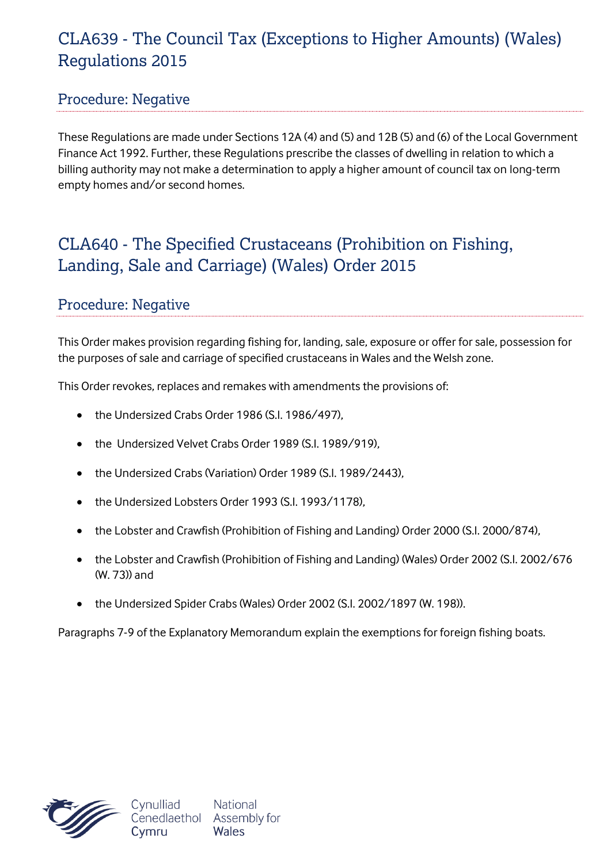## CLA639 - The Council Tax (Exceptions to Higher Amounts) (Wales) Regulations 2015

#### Procedure: Negative

These Regulations are made under Sections 12A (4) and (5) and 12B (5) and (6) of the Local Government Finance Act 1992. Further, these Regulations prescribe the classes of dwelling in relation to which a billing authority may not make a determination to apply a higher amount of council tax on long-term empty homes and/or second homes.

### CLA640 - The Specified Crustaceans (Prohibition on Fishing, Landing, Sale and Carriage) (Wales) Order 2015

#### Procedure: Negative

This Order makes provision regarding fishing for, landing, sale, exposure or offer for sale, possession for the purposes of sale and carriage of specified crustaceans in Wales and the Welsh zone.

This Order revokes, replaces and remakes with amendments the provisions of:

- the Undersized Crabs Order 1986 (S.I. 1986/497),
- the Undersized Velvet Crabs Order 1989 (S.I. 1989/919),
- the Undersized Crabs (Variation) Order 1989 (S.I. 1989/2443),
- the Undersized Lobsters Order 1993 (S.I. 1993/1178),
- the Lobster and Crawfish (Prohibition of Fishing and Landing) Order 2000 (S.I. 2000/874),
- the Lobster and Crawfish (Prohibition of Fishing and Landing) (Wales) Order 2002 (S.I. 2002/676 (W. 73)) and
- the Undersized Spider Crabs (Wales) Order 2002 (S.I. 2002/1897 (W. 198)).

Paragraphs 7-9 of the Explanatory Memorandum explain the exemptions for foreign fishing boats.

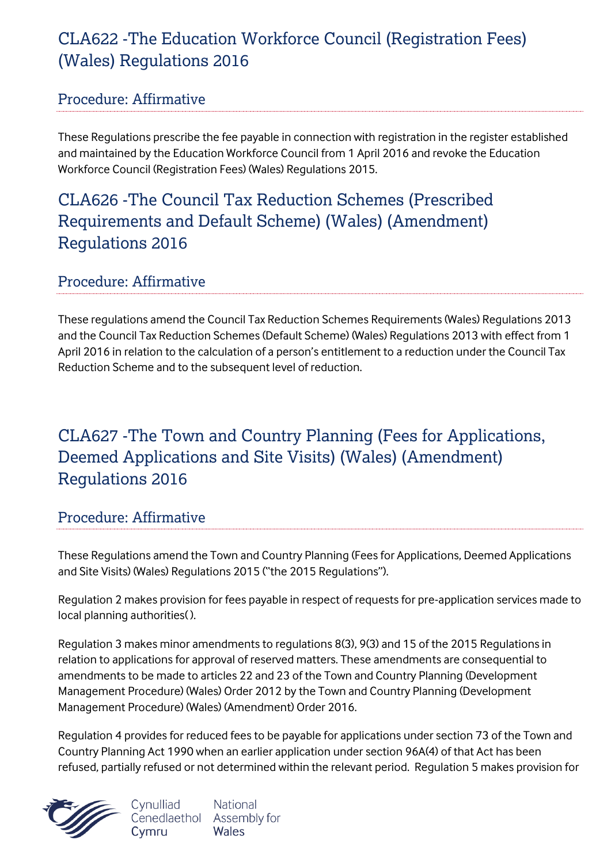## CLA622 -The Education Workforce Council (Registration Fees) (Wales) Regulations 2016

#### Procedure: Affirmative

These Regulations prescribe the fee payable in connection with registration in the register established and maintained by the Education Workforce Council from 1 April 2016 and revoke the Education Workforce Council (Registration Fees) (Wales) Regulations 2015.

### CLA626 -The Council Tax Reduction Schemes (Prescribed Requirements and Default Scheme) (Wales) (Amendment) Regulations 2016

#### Procedure: Affirmative

These regulations amend the Council Tax Reduction Schemes Requirements (Wales) Regulations 2013 and the Council Tax Reduction Schemes (Default Scheme) (Wales) Regulations 2013 with effect from 1 April 2016 in relation to the calculation of a person's entitlement to a reduction under the Council Tax Reduction Scheme and to the subsequent level of reduction.

# CLA627 -The Town and Country Planning (Fees for Applications, Deemed Applications and Site Visits) (Wales) (Amendment) Regulations 2016

#### Procedure: Affirmative

These Regulations amend the Town and Country Planning (Fees for Applications, Deemed Applications and Site Visits) (Wales) Regulations 2015 ("the 2015 Regulations").

Regulation 2 makes provision for fees payable in respect of requests for pre-application services made to local planning authorities( ).

Regulation 3 makes minor amendments to regulations 8(3), 9(3) and 15 of the 2015 Regulations in relation to applications for approval of reserved matters. These amendments are consequential to amendments to be made to articles 22 and 23 of the Town and Country Planning (Development Management Procedure) (Wales) Order 2012 by the Town and Country Planning (Development Management Procedure) (Wales) (Amendment) Order 2016.

Regulation 4 provides for reduced fees to be payable for applications under section 73 of the Town and Country Planning Act 1990 when an earlier application under section 96A(4) of that Act has been refused, partially refused or not determined within the relevant period. Regulation 5 makes provision for



Cynulliad **National** Cenedlaethol Assembly for Wales Cymru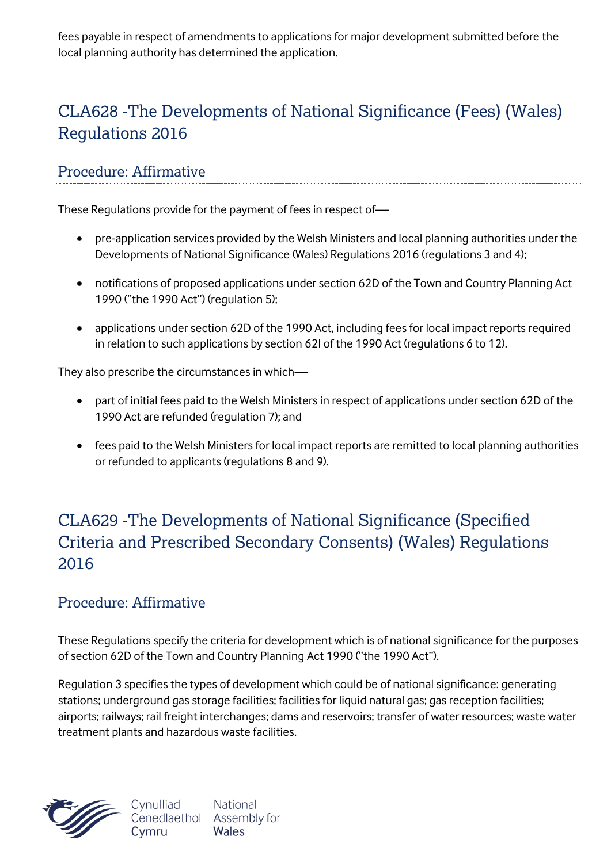fees payable in respect of amendments to applications for major development submitted before the local planning authority has determined the application.

# CLA628 -The Developments of National Significance (Fees) (Wales) Regulations 2016

#### Procedure: Affirmative

These Regulations provide for the payment of fees in respect of—

- pre-application services provided by the Welsh Ministers and local planning authorities under the Developments of National Significance (Wales) Regulations 2016 (regulations 3 and 4);
- notifications of proposed applications under section 62D of the Town and Country Planning Act 1990 ("the 1990 Act") (regulation 5);
- applications under section 62D of the 1990 Act, including fees for local impact reports required in relation to such applications by section 62I of the 1990 Act (regulations 6 to 12).

They also prescribe the circumstances in which—

- part of initial fees paid to the Welsh Ministers in respect of applications under section 62D of the 1990 Act are refunded (regulation 7); and
- fees paid to the Welsh Ministers for local impact reports are remitted to local planning authorities or refunded to applicants (regulations 8 and 9).

### CLA629 -The Developments of National Significance (Specified Criteria and Prescribed Secondary Consents) (Wales) Regulations 2016

#### Procedure: Affirmative

These Regulations specify the criteria for development which is of national significance for the purposes of section 62D of the Town and Country Planning Act 1990 ("the 1990 Act").

Regulation 3 specifies the types of development which could be of national significance: generating stations; underground gas storage facilities; facilities for liquid natural gas; gas reception facilities; airports; railways; rail freight interchanges; dams and reservoirs; transfer of water resources; waste water treatment plants and hazardous waste facilities.



**National** Cenedlaethol Assembly for Wales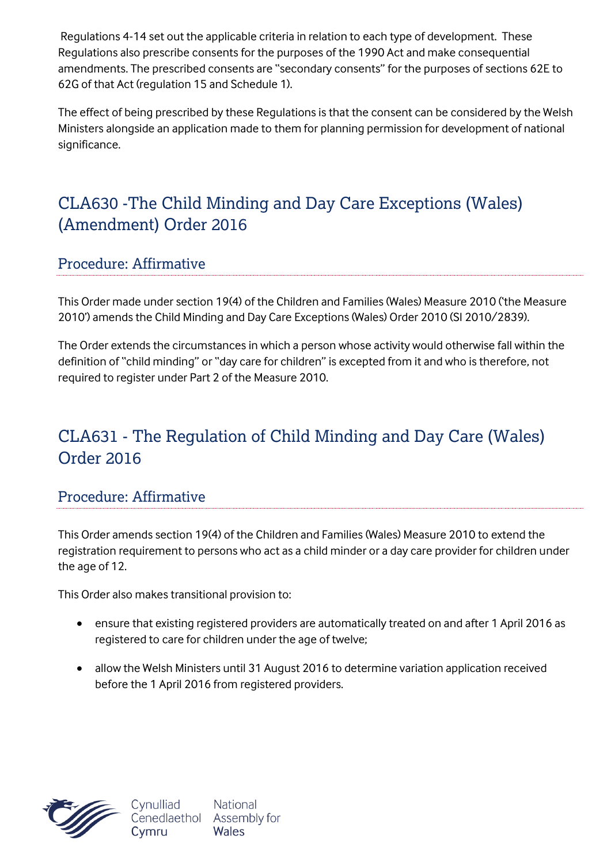Regulations 4-14 set out the applicable criteria in relation to each type of development. These Regulations also prescribe consents for the purposes of the 1990 Act and make consequential amendments. The prescribed consents are "secondary consents" for the purposes of sections 62E to 62G of that Act (regulation 15 and Schedule 1).

The effect of being prescribed by these Regulations is that the consent can be considered by the Welsh Ministers alongside an application made to them for planning permission for development of national significance.

### CLA630 -The Child Minding and Day Care Exceptions (Wales) (Amendment) Order 2016

#### Procedure: Affirmative

This Order made under section 19(4) of the Children and Families (Wales) Measure 2010 ('the Measure 2010') amends the Child Minding and Day Care Exceptions (Wales) Order 2010 (SI 2010/2839).

The Order extends the circumstances in which a person whose activity would otherwise fall within the definition of "child minding" or "day care for children" is excepted from it and who is therefore, not required to register under Part 2 of the Measure 2010.

### CLA631 - The Regulation of Child Minding and Day Care (Wales) Order 2016

#### Procedure: Affirmative

This Order amends section 19(4) of the Children and Families (Wales) Measure 2010 to extend the registration requirement to persons who act as a child minder or a day care provider for children under the age of 12.

This Order also makes transitional provision to:

- ensure that existing registered providers are automatically treated on and after 1 April 2016 as registered to care for children under the age of twelve;
- allow the Welsh Ministers until 31 August 2016 to determine variation application received before the 1 April 2016 from registered providers.



National Wales